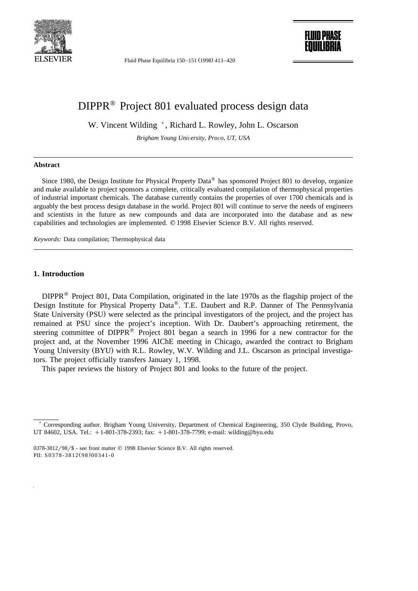

Fluid Phase Equilibria 150-151 (1998) 413-420



# $DIPPR^{\circledast}$  Project 801 evaluated process design data

W. Vincent Wilding  $*$ , Richard L. Rowley, John L. Oscarson

*Brigham Young Uni*Õ*ersity, Pro*Õ*o, UT, USA*

#### **Abstract**

Since 1980, the Design Institute for Physical Property Data® has sponsored Project 801 to develop, organize and make available to project sponsors a complete, critically evaluated compilation of thermophysical properties of industrial important chemicals. The database currently contains the properties of over 1700 chemicals and is arguably the best process design database in the world. Project 801 will continue to serve the needs of engineers and scientists in the future as new compounds and data are incorporated into the database and as new capabilities and technologies are implemented.  $\odot$  1998 Elsevier Science B.V. All rights reserved.

*Keywords:* Data compilation; Thermophysical data

## **1. Introduction**

DIPPR<sup>®</sup> Project 801, Data Compilation, originated in the late 1970s as the flagship project of the Design Institute for Physical Property Data®. T.E. Daubert and R.P. Danner of The Pennsylvania State University (PSU) were selected as the principal investigators of the project, and the project has remained at PSU since the project's inception. With Dr. Daubert's approaching retirement, the steering committee of DIPPR<sup>®</sup> Project 801 began a search in 1996 for a new contractor for the project and, at the November 1996 AIChE meeting in Chicago, awarded the contract to Brigham Young University (BYU) with R.L. Rowley, W.V. Wilding and J.L. Oscarson as principal investigators. The project officially transfers January 1, 1998.

This paper reviews the history of Project 801 and looks to the future of the project.

<sup>)</sup> Corresponding author. Brigham Young University, Department of Chemical Engineering, 350 Clyde Building, Provo, UT 84602, USA. Tel.:  $+1-801-378-2393$ ; fax:  $+1-801-378-7799$ ; e-mail: wilding@byu.edu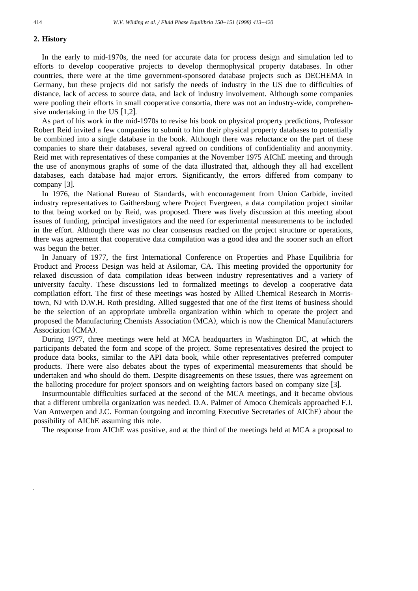### **2. History**

In the early to mid-1970s, the need for accurate data for process design and simulation led to efforts to develop cooperative projects to develop thermophysical property databases. In other countries, there were at the time government-sponsored database projects such as DECHEMA in Germany, but these projects did not satisfy the needs of industry in the US due to difficulties of distance, lack of access to source data, and lack of industry involvement. Although some companies were pooling their efforts in small cooperative consortia, there was not an industry-wide, comprehensive undertaking in the US  $[1,2]$ .

As part of his work in the mid-1970s to revise his book on physical property predictions, Professor Robert Reid invited a few companies to submit to him their physical property databases to potentially be combined into a single database in the book. Although there was reluctance on the part of these companies to share their databases, several agreed on conditions of confidentiality and anonymity. Reid met with representatives of these companies at the November 1975 AIChE meeting and through the use of anonymous graphs of some of the data illustrated that, although they all had excellent databases, each database had major errors. Significantly, the errors differed from company to company  $[3]$ .

In 1976, the National Bureau of Standards, with encouragement from Union Carbide, invited industry representatives to Gaithersburg where Project Evergreen, a data compilation project similar to that being worked on by Reid, was proposed. There was lively discussion at this meeting about issues of funding, principal investigators and the need for experimental measurements to be included in the effort. Although there was no clear consensus reached on the project structure or operations, there was agreement that cooperative data compilation was a good idea and the sooner such an effort was begun the better.

In January of 1977, the first International Conference on Properties and Phase Equilibria for Product and Process Design was held at Asilomar, CA. This meeting provided the opportunity for relaxed discussion of data compilation ideas between industry representatives and a variety of university faculty. These discussions led to formalized meetings to develop a cooperative data compilation effort. The first of these meetings was hosted by Allied Chemical Research in Morristown, NJ with D.W.H. Roth presiding. Allied suggested that one of the first items of business should be the selection of an appropriate umbrella organization within which to operate the project and proposed the Manufacturing Chemists Association (MCA), which is now the Chemical Manufacturers Association (CMA).

During 1977, three meetings were held at MCA headquarters in Washington DC, at which the participants debated the form and scope of the project. Some representatives desired the project to produce data books, similar to the API data book, while other representatives preferred computer products. There were also debates about the types of experimental measurements that should be undertaken and who should do them. Despite disagreements on these issues, there was agreement on the balloting procedure for project sponsors and on weighting factors based on company size  $[3]$ .

Insurmountable difficulties surfaced at the second of the MCA meetings, and it became obvious that a different umbrella organization was needed. D.A. Palmer of Amoco Chemicals approached F.J. Van Antwerpen and J.C. Forman (outgoing and incoming Executive Secretaries of AIChE) about the possibility of AIChE assuming this role.

The response from AIChE was positive, and at the third of the meetings held at MCA a proposal to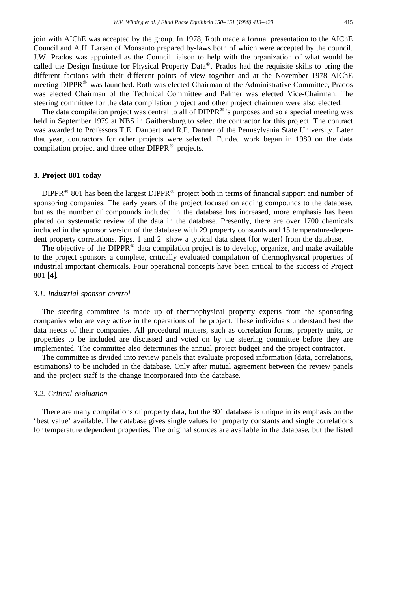join with AIChE was accepted by the group. In 1978, Roth made a formal presentation to the AIChE Council and A.H. Larsen of Monsanto prepared by-laws both of which were accepted by the council. J.W. Prados was appointed as the Council liaison to help with the organization of what would be called the Design Institute for Physical Property Data<sup>®</sup>. Prados had the requisite skills to bring the different factions with their different points of view together and at the November 1978 AIChE meeting  $DIPPR^{\circledast}$  was launched. Roth was elected Chairman of the Administrative Committee, Prados was elected Chairman of the Technical Committee and Palmer was elected Vice-Chairman. The steering committee for the data compilation project and other project chairmen were also elected.

The data compilation project was central to all of  $DIPPR^{\circledast}$ 's purposes and so a special meeting was held in September 1979 at NBS in Gaithersburg to select the contractor for this project. The contract was awarded to Professors T.E. Daubert and R.P. Danner of the Pennsylvania State University. Later that year, contractors for other projects were selected. Funded work began in 1980 on the data compilation project and three other  $DIPPR^{\circledast}$  projects.

## **3. Project 801 today**

DIPPR<sup>®</sup> 801 has been the largest DIPPR<sup>®</sup> project both in terms of financial support and number of sponsoring companies. The early years of the project focused on adding compounds to the database, but as the number of compounds included in the database has increased, more emphasis has been placed on systematic review of the data in the database. Presently, there are over 1700 chemicals included in the sponsor version of the database with 29 property constants and 15 temperature-dependent property correlations. Figs. 1 and 2 show a typical data sheet (for water) from the database.

The objective of the DIPPR<sup>®</sup> data compilation project is to develop, organize, and make available to the project sponsors a complete, critically evaluated compilation of thermophysical properties of industrial important chemicals. Four operational concepts have been critical to the success of Project  $801$  [4].

#### *3.1. Industrial sponsor control*

The steering committee is made up of thermophysical property experts from the sponsoring companies who are very active in the operations of the project. These individuals understand best the data needs of their companies. All procedural matters, such as correlation forms, property units, or properties to be included are discussed and voted on by the steering committee before they are implemented. The committee also determines the annual project budget and the project contractor.

The committee is divided into review panels that evaluate proposed information (data, correlations, estimations) to be included in the database. Only after mutual agreement between the review panels and the project staff is the change incorporated into the database.

#### *3.2. Critical e*Õ*aluation*

There are many compilations of property data, but the 801 database is unique in its emphasis on the 'best value' available. The database gives single values for property constants and single correlations for temperature dependent properties. The original sources are available in the database, but the listed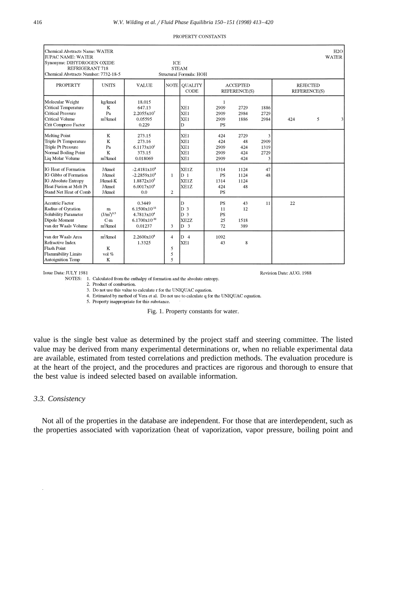| Chemical Abstracts Name: WATER<br><b>IUPAC NAME: WATER</b><br>Synonyms: DIHYDROGEN OXIDE<br>REFRIGERANT 718<br>Chemical Abstracts Number: 7732-18-5 |                                                   |                                                                                       | ICE                            | <b>STEAM</b><br>Structural Formula: HOH                                |                                    |                                 |                                |     |                                 | H2O<br><b>WATER</b>     |  |
|-----------------------------------------------------------------------------------------------------------------------------------------------------|---------------------------------------------------|---------------------------------------------------------------------------------------|--------------------------------|------------------------------------------------------------------------|------------------------------------|---------------------------------|--------------------------------|-----|---------------------------------|-------------------------|--|
| <b>PROPERTY</b>                                                                                                                                     | <b>UNITS</b>                                      | <b>VALUE</b>                                                                          |                                | NOTE QUALITY<br>CODE                                                   |                                    | <b>ACCEPTED</b><br>REFERENCE(S) |                                |     | <b>REJECTED</b><br>REFERENCE(S) |                         |  |
| Molecular Weight<br>Critical Temperature<br>Critical Pressure<br>Critical Volume<br>Crit Compress Factor                                            | kg/kmol<br>K<br>Pa<br>$m^3/kmol$                  | 18.015<br>647.13<br>$2.2055x10^{7}$<br>0.05595<br>0.229                               |                                | XE1<br>XE1<br>XE1<br>D                                                 | 1<br>2909<br>2909<br>2909<br>PS    | 2729<br>2984<br>1886            | 1886<br>2729<br>2984           | 424 | 5                               | $\overline{\mathbf{3}}$ |  |
| <b>Melting Point</b><br>Triple Pt Temperature<br>Triple Pt Pressure<br>Normal Boiling Point<br>Liq Molar Volume                                     | $\rm K$<br>$\rm K$<br>Pa<br>K<br>$m^3/kmol$       | 273.15<br>273.16<br>$6.1173x10^2$<br>373.15<br>0.018069                               |                                | XE1<br>XE1<br>XE1<br>XE1<br>XE1                                        | 424<br>424<br>2909<br>2909<br>2909 | 2729<br>48<br>424<br>424<br>424 | 3<br>2909<br>1319<br>2729<br>3 |     |                                 |                         |  |
| IG Heat of Formation<br>IG Gibbs of Formation<br>IG Absolute Entropy<br>Heat Fusion at Melt Pt<br>Stand Net Heat of Comb                            | J/kmol<br>J/kmol<br>J/kmol·K<br>J/kmol<br>J/kmol  | $-2.4181x108$<br>$-2.2859x10^{8}$<br>$1.8872x10^5$<br>$6.0017x10^{6}$<br>0.0          | $\mathbf{1}$<br>$\overline{2}$ | XE1Z<br>$D_1$<br>XE <sub>1</sub> Z<br>XE1Z                             | 1314<br>PS<br>1314<br>424<br>PS    | 1124<br>1124<br>1124<br>48      | 47<br>48                       |     |                                 |                         |  |
| Acentric Factor<br>Radius of Gyration<br>Solubility Parameter<br>Dipole Moment<br>van der Waals Volume                                              | m<br>$(J/m^3)^{0.5}$<br>$C \cdot m$<br>$m^3/kmol$ | 0.3449<br>$6.1500x10^{-11}$<br>4.7813x10 <sup>4</sup><br>$6.1700x10^{-30}$<br>0.01237 | 3                              | D<br>D <sub>3</sub><br>D <sub>3</sub><br><b>XE2Z</b><br>D <sub>3</sub> | PS<br>11<br>PS<br>25<br>72         | 43<br>12<br>1518<br>389         | 11                             | 22  |                                 |                         |  |
| van der Waals Area<br>Refractive Index<br>Flash Point<br>Flammibility Limits<br>Autoignition Temp                                                   | $m^2/k$ mol<br>K<br>vol %<br>K                    | $2.2600x10^{8}$<br>1.3325                                                             | 4<br>5<br>5<br>5               | D <sub>4</sub><br>XE1                                                  | 1092<br>43                         | 8                               |                                |     |                                 |                         |  |

#### PROPERTY CONSTANTS

Issue Data: JULY 1981

Revision Date: AUG. 1988

NOTES: 1. Calculated from the enthalpy of formation and the absolute entropy.

2. Product of combustion.

3. Do not use this value to calculate r for the UNIQUAC equation.

4. Estimated by method of Vera et al. Do not use to calculate q for the UNIQUAC equation.

5. Property inappropriate for this substance.

Fig. 1. Property constants for water.

value is the single best value as determined by the project staff and steering committee. The listed value may be derived from many experimental determinations or, when no reliable experimental data are available, estimated from tested correlations and prediction methods. The evaluation procedure is at the heart of the project, and the procedures and practices are rigorous and thorough to ensure that the best value is indeed selected based on available information.

#### *3.3. Consistency*

Not all of the properties in the database are independent. For those that are interdependent, such as the properties associated with vaporization (heat of vaporization, vapor pressure, boiling point and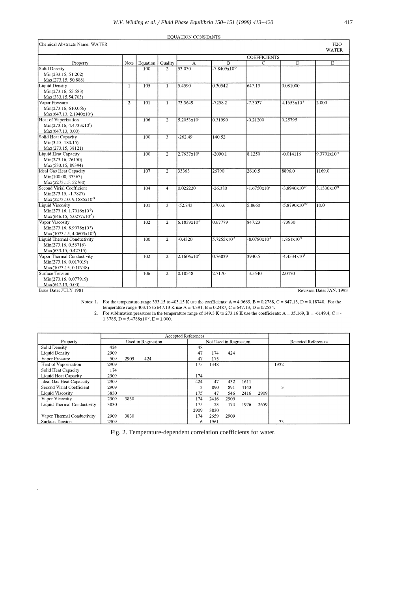| <b>EQUATION CONSTANTS</b> |
|---------------------------|
|                           |

| Chemical Abstracts Name: WATER                                                                                      |                |          |                |                  |                         |                     |                    | H <sub>2</sub> O<br><b>WATER</b> |
|---------------------------------------------------------------------------------------------------------------------|----------------|----------|----------------|------------------|-------------------------|---------------------|--------------------|----------------------------------|
|                                                                                                                     |                |          |                |                  |                         | <b>COEFFICIENTS</b> |                    |                                  |
| Property                                                                                                            | Note           | Equation | Ouality        | A                | $\overline{B}$          | $\overline{c}$      | $\overline{D}$     | Ε                                |
| <b>Solid Density</b><br>Min(233.15, 51.202)<br>Max(273.15, 50.888)                                                  |                | 100      | $\overline{c}$ | 53.030           | $-7.8409x10^{-3}$       |                     |                    |                                  |
| <b>Liquid Density</b><br>Min(273.16, 55.583)<br>Max(333.15,54.703)                                                  | $\mathbf{1}$   | 105      | $\mathbf{1}$   | 5.4590           | 0.30542                 | 647.13              | 0.081000           |                                  |
| Vapor Pressure<br>Min(273.16, 610.056)<br>$Max(647.13, 2.1940x10^7)$                                                | $\overline{2}$ | 101      | $\mathbf{1}$   | 73.3649          | $-7258.2$               | $-7.3037$           | $4.1653x10^{-6}$   | 2.000                            |
| Heat of Vaporization<br>Min(273.16, 4.4733x10 <sup>7</sup> )<br>Max(647.13, 0.00)                                   |                | 106      | $\overline{2}$ | $5.2053x10^{7}$  | 0.31990                 | $-0.21200$          | 0.25795            |                                  |
| Solid Heat Capacity<br>Min(3.15, 180.15)<br>Max(273.15, 38121)                                                      |                | 100      | $\overline{3}$ | $-262.49$        | 140.52                  |                     |                    |                                  |
| Liquid Heat Capacity<br>Min(273.16, 76150)<br>Max(533.15, 89394)                                                    |                | 100      | $\overline{2}$ | $2.7637x10^{5}$  | $-2090.1$               | 8.1250              | $-0.014116$        | $9.3701x10^{-6}$                 |
| <b>Ideal Gas Heat Capacity</b><br>Min(100.00, 33363)<br>Max(2273.15, 52760)                                         |                | 107      | $\overline{2}$ | 33363            | 26790                   | 2610.5              | 8896.0             | 1169.0                           |
| Second Virial Coefficient<br>Min(273.15, -1.7827)<br>Max(2273.10, 9.1885x10 <sup>-3</sup>                           |                | 104      | $\overline{4}$ | 0.022220         | $-26.380$               | $-1.6750x10^{7}$    | $-3.8940x10^{19}$  | $3.1330x10^{21}$                 |
| <b>Liquid Viscosity</b><br>$Min(273.16, 1.7016x10^{-3})$<br>$Max(646.15, 5.0277 \times 10^{-5})$                    |                | 101      | $\overline{3}$ | $-52.843$        | 3703.6                  | 5.8660              | $-5.8790x10^{-29}$ | 10.0                             |
| Vapor Viscosity<br>$Min(273.16, 8.9078x10^{-6})$<br>$Max(1073.15, 4.0603 \text{x} 10^{-5})$                         |                | 102      | $\overline{2}$ | $6.1839x10^{-7}$ | 0.67779                 | 847.23              | $-73930$           |                                  |
| Liquid Thermal Conductivity<br>Min(273.16, 0.56716)<br>Max(633.15, 0.42715)                                         |                | 100      | $\overline{2}$ | $-0.4320$        | $5.7255 \times 10^{-3}$ | $-8.0780x10^{-6}$   | $1.861x10^{9}$     |                                  |
| Vapor Thermal Conductivity<br>Min(273.16, 0.017019)<br>Max(1073.15, 0.10748)                                        |                | 102      | $\overline{2}$ | $2.1606x10^{-3}$ | 0.76839                 | 3940.5              | $-4.4534x10^{5}$   |                                  |
| <b>Surface Tension</b><br>Min(273.16, 0.077919)<br>Max(647.13, 0.00)<br>$T_{2222}$ , $D_{2422}$ , $TTT$ , $T/10.01$ |                | 106      | $\overline{2}$ | 0.18548          | 2.7170                  | $-3.5540$           | 2.0470             |                                  |

Issue Date: JULY 1981

Revision Date: JAN. 1993

Notes: 1. For the temperature range 333.15 to 403.15 K use the coefficients: A = 4.9669, B = 0.2788, C = 647.13, D = 0.18740. For the temperature range 403.15 to 647.13 K use A = 4.391, B = 0.2487, C = 647.13, D = 0.2534.

2. For sublimation pressures in the temperature range of 149.3 K to 273.16 K use the coefficients: A = 35.169, B = -6149.4, C = -1.3785, D =  $5.4788 \times 10^{-3}$ , E = 1.000.

|                                 | <b>Accepted References</b> |      |     |      |                        |      |      |      |      |                     |
|---------------------------------|----------------------------|------|-----|------|------------------------|------|------|------|------|---------------------|
| Property                        | Used in Regression         |      |     |      | Not Used in Regression |      |      |      |      | Rejected References |
| Solid Density                   | 424                        |      |     | 48   |                        |      |      |      |      |                     |
| <b>Liquid Density</b>           | 2909                       |      |     | 47   | 174                    | 424  |      |      |      |                     |
| Vapor Pressure                  | 509                        | 2909 | 424 | 47   | 175                    |      |      |      |      |                     |
| Heat of Vaporization            | 2909                       |      |     | 175  | 1348                   |      |      |      | 1932 |                     |
| Solid Heat Capacity             | 174                        |      |     |      |                        |      |      |      |      |                     |
| Liquid Heat Capacity            | 2909                       |      |     | 174  |                        |      |      |      |      |                     |
| <b>Ideal Gas Heat Capaccity</b> | 2909                       |      |     | 424  | 47                     | 432  | 1611 |      |      |                     |
| Second Virial Coefficient       | 2909                       |      |     | 3    | 890                    | 891  | 4143 |      | 3    |                     |
| Liquid Viscosity                | 3830                       |      |     | 175  | 47                     | 546  | 2416 | 2909 |      |                     |
| Vapor Viscosity                 | 2909                       | 3830 |     | 174  | 2416                   | 2909 |      |      |      |                     |
| Liquid Thermal Conductivity     | 3830                       |      |     | 175  | 23                     | 174  | 1976 | 2659 |      |                     |
|                                 |                            |      |     | 2909 | 3830                   |      |      |      |      |                     |
| Vapor Thermal Conductivity      | 2909                       | 3830 |     | 174  | 2659                   | 2909 |      |      |      |                     |
| Surface Tension                 | 2909                       |      |     | 6    | 1961                   |      |      |      | 33   |                     |

Fig. 2. Temperature-dependent correlation coefficients for water.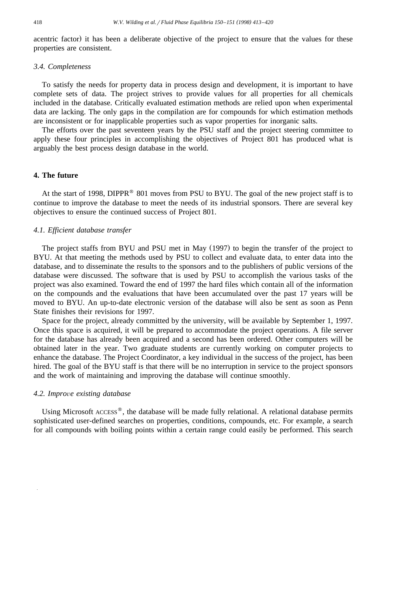acentric factor) it has been a deliberate objective of the project to ensure that the values for these properties are consistent.

## *3.4. Completeness*

To satisfy the needs for property data in process design and development, it is important to have complete sets of data. The project strives to provide values for all properties for all chemicals included in the database. Critically evaluated estimation methods are relied upon when experimental data are lacking. The only gaps in the compilation are for compounds for which estimation methods are inconsistent or for inapplicable properties such as vapor properties for inorganic salts.

The efforts over the past seventeen years by the PSU staff and the project steering committee to apply these four principles in accomplishing the objectives of Project 801 has produced what is arguably the best process design database in the world.

### **4. The future**

At the start of 1998, DIPPR<sup>®</sup> 801 moves from PSU to BYU. The goal of the new project staff is to continue to improve the database to meet the needs of its industrial sponsors. There are several key objectives to ensure the continued success of Project 801.

#### *4.1. Efficient database transfer*

The project staffs from BYU and PSU met in May (1997) to begin the transfer of the project to BYU. At that meeting the methods used by PSU to collect and evaluate data, to enter data into the database, and to disseminate the results to the sponsors and to the publishers of public versions of the database were discussed. The software that is used by PSU to accomplish the various tasks of the project was also examined. Toward the end of 1997 the hard files which contain all of the information on the compounds and the evaluations that have been accumulated over the past 17 years will be moved to BYU. An up-to-date electronic version of the database will also be sent as soon as Penn State finishes their revisions for 1997.

Space for the project, already committed by the university, will be available by September 1, 1997. Once this space is acquired, it will be prepared to accommodate the project operations. A file server for the database has already been acquired and a second has been ordered. Other computers will be obtained later in the year. Two graduate students are currently working on computer projects to enhance the database. The Project Coordinator, a key individual in the success of the project, has been hired. The goal of the BYU staff is that there will be no interruption in service to the project sponsors and the work of maintaining and improving the database will continue smoothly.

#### *4.2. Impro*Õ*e existing database*

Using Microsoft ACCESS<sup>®</sup>, the database will be made fully relational. A relational database permits sophisticated user-defined searches on properties, conditions, compounds, etc. For example, a search for all compounds with boiling points within a certain range could easily be performed. This search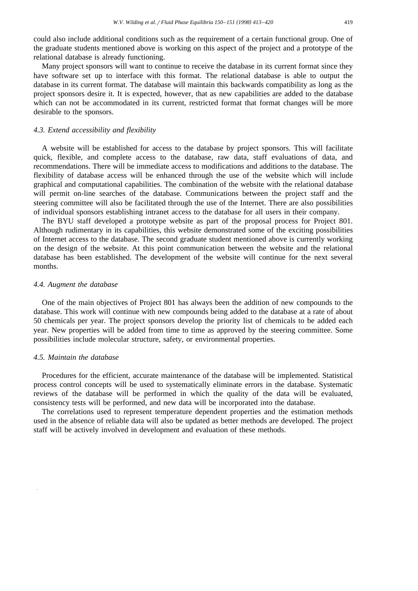could also include additional conditions such as the requirement of a certain functional group. One of the graduate students mentioned above is working on this aspect of the project and a prototype of the relational database is already functioning.

Many project sponsors will want to continue to receive the database in its current format since they have software set up to interface with this format. The relational database is able to output the database in its current format. The database will maintain this backwards compatibility as long as the project sponsors desire it. It is expected, however, that as new capabilities are added to the database which can not be accommodated in its current, restricted format that format changes will be more desirable to the sponsors.

## *4.3. Extend accessibility and flexibility*

A website will be established for access to the database by project sponsors. This will facilitate quick, flexible, and complete access to the database, raw data, staff evaluations of data, and recommendations. There will be immediate access to modifications and additions to the database. The flexibility of database access will be enhanced through the use of the website which will include graphical and computational capabilities. The combination of the website with the relational database will permit on-line searches of the database. Communications between the project staff and the steering committee will also be facilitated through the use of the Internet. There are also possibilities of individual sponsors establishing intranet access to the database for all users in their company.

The BYU staff developed a prototype website as part of the proposal process for Project 801. Although rudimentary in its capabilities, this website demonstrated some of the exciting possibilities of Internet access to the database. The second graduate student mentioned above is currently working on the design of the website. At this point communication between the website and the relational database has been established. The development of the website will continue for the next several months.

#### *4.4. Augment the database*

One of the main objectives of Project 801 has always been the addition of new compounds to the database. This work will continue with new compounds being added to the database at a rate of about 50 chemicals per year. The project sponsors develop the priority list of chemicals to be added each year. New properties will be added from time to time as approved by the steering committee. Some possibilities include molecular structure, safety, or environmental properties.

## *4.5. Maintain the database*

Procedures for the efficient, accurate maintenance of the database will be implemented. Statistical process control concepts will be used to systematically eliminate errors in the database. Systematic reviews of the database will be performed in which the quality of the data will be evaluated, consistency tests will be performed, and new data will be incorporated into the database.

The correlations used to represent temperature dependent properties and the estimation methods used in the absence of reliable data will also be updated as better methods are developed. The project staff will be actively involved in development and evaluation of these methods.